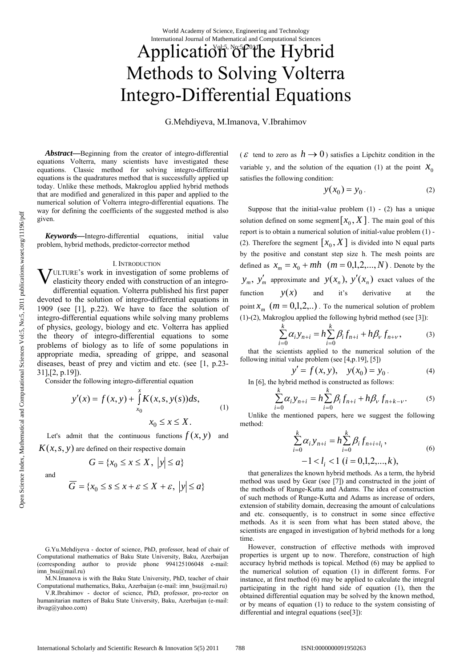World Academy of Science, Engineering and Technology International Journal of Mathematical and Computational Sciences

# Application of the Hybrid Methods to Solving Volterra Integro-Differential Equations

G.Mehdiyeva, M.Imanova, V.Ibrahimov

*Abstract***—**Beginning from the creator of integro-differential equations Volterra, many scientists have investigated these equations. Classic method for solving integro-differential equations is the quadratures method that is successfully applied up today. Unlike these methods, Makroglou applied hybrid methods that are modified and generalized in this paper and applied to the numerical solution of Volterra integro-differential equations. The way for defining the coefficients of the suggested method is also given.

*Keywords—*Integro-differential equations, initial value problem, hybrid methods, predictor-corrector method

#### I. INTRODUCTION

**VULTURE's work in investigation of some problems of elasticity theory ended with construction of an integro**elasticity theory ended with construction of an integrodifferential equation. Volterra published his first paper devoted to the solution of integro-differential equations in 1909 (see [1], p.22). We have to face the solution of integro-differential equations while solving many problems of physics, geology, biology and etc. Volterra has applied the theory of integro-differential equations to some problems of biology as to life of some populations in appropriate media, spreading of grippe, and seasonal diseases, beast of prey and victim and etc. (see [1, p.23- 31],[2, p.19]).

Consider the following integro-differential equation

$$
y'(x) = f(x, y) + \int_{x_0}^{x} K(x, s, y(s)) ds,
$$
  
(1)  

$$
x_0 \le x \le X.
$$

Let's admit that the continuous functions  $f(x, y)$  and  $K(x, s, y)$  are defined on their respective domain

 ${ }$  ${ }G = {\{x_0 \le x \le X, |y| \le a\}}$ 

and

$$
\overline{G} = \{x_0 \le s \le x + \varepsilon \le X + \varepsilon, \ |y| \le a\}
$$

M.N.Imanova is with the Baku State University, PhD, teacher of chair Computational mathematics, Baku, Azerbaijan (e-mail: imn\_bsu@mail.ru)

V.R.Ibrahimov - doctor of science, PhD, professor, pro-rector on humanitarian matters of Baku State University, Baku, Azerbaijan (e-mail: ibvag@yahoo.com)

( $\varepsilon$  tend to zero as  $h \to 0$ ) satisfies a Lipchitz condition in the variable y, and the solution of the equation (1) at the point  $X_0$ satisfies the following condition:

$$
y(x_0) = y_0. \tag{2}
$$

Suppose that the initial-value problem  $(1)$  -  $(2)$  has a unique solution defined on some segment  $[x_0, X]$ . The main goal of this report is to obtain a numerical solution of initial-value problem (1) - (2). Therefore the segment  $[x_0, X]$  is divided into N equal parts by the positive and constant step size h. The mesh points are defined as  $x_m = x_0 + mh$   $(m = 0,1,2,..., N)$ . Denote by the  $y_m$ ,  $y'_m$  approximate and  $y(x_n)$ ,  $y'(x_n)$  exact values of the function  $y(x)$  and it's derivative at the point  $x_m$  ( $m = 0,1,2, ...$ ). To the numerical solution of problem (1)-(2), Makroglou applied the following hybrid method (see [3]):

$$
\sum_{i=0}^{k} \alpha_i y_{n+i} = h \sum_{i=0}^{k} \beta_i f_{n+i} + h \beta_v f_{n+v},
$$
 (3)

that the scientists applied to the numerical solution of the following initial value problem (see [4,p.19], [5])

$$
y' = f(x, y), y(x_0) = y_0.
$$
 (4)

In [6], the hybrid method is constructed as follows:

$$
\sum_{i=0}^{k} \alpha_i y_{n+i} = h \sum_{i=0}^{k} \beta_i f_{n+i} + h \beta_v f_{n+k-v}.
$$
 (5)

Unlike the mentioned papers, here we suggest the following method:

$$
\sum_{i=0}^{k} \alpha_i y_{n+i} = h \sum_{i=0}^{k} \beta_i f_{n+i+l_i},
$$
\n
$$
-1 < l_i < 1 \ (i = 0, 1, 2, \dots, k), \tag{6}
$$

that generalizes the known hybrid methods. As a term, the hybrid method was used by Gear (see [7]) and constructed in the joint of the methods of Runge-Kutta and Adams. The idea of construction of such methods of Runge-Kutta and Adams as increase of orders, extension of stability domain, decreasing the amount of calculations and etc. consequently, is to construct in some since effective methods. As it is seen from what has been stated above, the scientists are engaged in investigation of hybrid methods for a long time.

However, construction of effective methods with improved properties is urgent up to now. Therefore, construction of high accuracy hybrid methods is topical. Method (6) may be applied to the numerical solution of equation (1) in different forms. For instance, at first method (6) may be applied to calculate the integral participating in the right hand side of equation (1), then the obtained differential equation may be solved by the known method, or by means of equation (1) to reduce to the system consisting of differential and integral equations (see[3]):

G.Yu.Mehdiyeva - doctor of science, PhD, professor, head of chair of Computational mathematics of Baku State University, Baku, Azerbaijan (corresponding author to provide phone 994125106048 e-mail: imn\_bsu@mail.ru)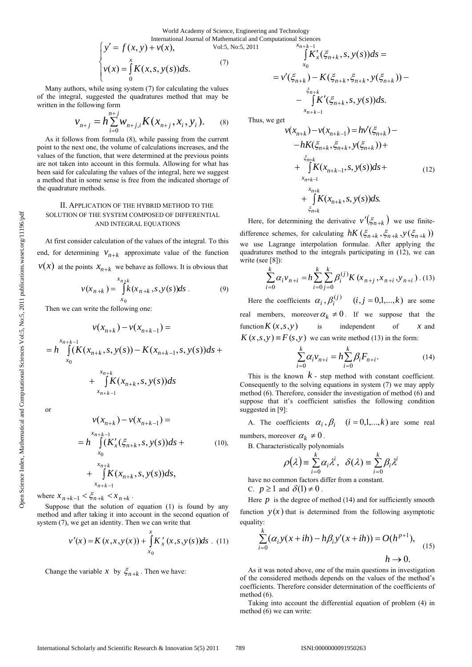World Academy of Science, Engineering and Technology

International Journal of Mathematical and Computational Sciences  
\n
$$
\begin{cases}\ny' = f(x, y) + v(x), & \text{Vol:5, No:5, 2011} \\
v(x) = \int_{0}^{x} K(x, s, y(s)) ds. & (7) \\
v' = \int_{0}^{x} K(x, s, y(s)) ds. & (9) \\
v' = \int_{0}^{x} K(x, s, y(s)) ds. & (1) \\
v' = \int_{0}^{x} K(x, s, y(s)) ds. & (2) \\
v' = \int_{0}^{x} K(x, s, y(s)) ds. & (3) \\
v' = \int_{0}^{x} K(x, s, y(s)) ds. & (4) \\
v' = \int_{0}^{x} K(x, s, y(s)) ds. & (5) \\
v' = \int_{0}^{x} K(x, s, y(s)) ds. & (7) \\
v' = \int_{0}^{x} K(x, s, y(s)) ds. & (8) \\
v' = \int_{0}^{x} K(x, s, y(s)) ds. & (9) \\
v' = \int_{0}^{x} K(x, s, y(s)) ds. & (1) \\
v' = \int_{0}^{x} K(x, s, y(s)) ds. & (1) \\
v' = \int_{0}^{x} K(x, s, y(s)) ds. & (2) \\
v' = \int_{0}^{x} K(x, s, y(s)) ds. & (3) \\
v' = \int_{0}^{x} K(x, s, y(s)) ds. & (4) \\
v' = \int_{0}^{x} K(x, s, y(s)) ds. & (5) \\
v' = \int_{0}^{x} K(x, s, y(s)) ds. & (7) \\
v' = \int_{0}^{x} K(x, s, y(s)) ds. & (8) \\
v' = \int_{0}^{x} K(x, s, y(s)) ds. & (9) \\
v' = \int_{0}^{x} K(x, s, y(s)) ds. & (1) \\
v' = \int_{0}^{x} K(x, s, y(s)) ds. & (1) \\
v' = \int_{0}^{x} K(x, s, y(s)) ds. & (2) \\
v' = \int_{0}^{x} K(x, s, y(s)) ds. & (3) \\
v' = \int_{0}^{x} K(x, s, y(s)) ds. & (4) \\
v' = \int_{0}^{x} K(x, s, y(s)) ds. & (5) \\
v' = \int_{0}^{x} K(x, s, y(s)) ds. & (7) \\
v' = \int_{0}^{x} K(x, s, y(s)) ds. & (8) \\
v' = \int_{0}^{x}
$$

Many authors, while using system (7) for calculating the values of the integral, suggested the quadratures method that may be written in the following form

$$
v_{n+j} = h \sum_{i=0}^{n+j} w_{n+j,i} K(x_{n+j}, x_i, y_i).
$$
 (8)

As it follows from formula (8), while passing from the current point to the next one, the volume of calculations increases, and the values of the function, that were determined at the previous points are not taken into account in this formula. Allowing for what has been said for calculating the values of the integral, here we suggest a method that in some sense is free from the indicated shortage of the quadrature methods.

## II. APPLICATION OF THE HYBRID METHOD TO THE SOLUTION OF THE SYSTEM COMPOSED OF DIFFERENTIAL AND INTEGRAL EQUATIONS

At first consider calculation of the values of the integral. To this end, for determining  $V_{n+k}$  approximate value of the function  $v(x)$  at the points  $x_{n+k}$  we behave as follows. It is obvious that

$$
v(x_{n+k}) = \int_{x_0}^{x_{n+k}} k(x_{n+k}, s, y(s))ds
$$
 (9)

Then we can write the following one:

 $x_{n+k-1}$ 

$$
v(x_{n+k}) - v(x_{n+k-1}) =
$$
  
=  $h \int_{x_0}^{x_{n+k-1}} (K(x_{n+k}, s, y(s)) - K(x_{n+k-1}, s, y(s)) ds +$   
+  $\int_{x_0}^{x_{n+k}} K(x_{n+k}, s, y(s)) ds$ 

or

$$
\nu(x_{n+k}) - \nu(x_{n+k-1}) =
$$
\n
$$
= h \int_{x_0}^{x_{n+k-1}} (K'_x(\xi_{n+k}, s, y(s))ds + \cdots )
$$
\n
$$
+ \int_{x_{n+k-1}}^{x_{n+k}} K(x_{n+k}, s, y(s))ds,
$$
\n(10)

where  $x_{n+k-1} < \xi_{n+k} < x_{n+k}$ .

Suppose that the solution of equation (1) is found by any method and after taking it into account in the second equation of system (7), we get an identity. Then we can write that

$$
v'(x) = K(x, x, y(x)) + \int_{x_0}^{x} K'_x(x, s, y(s))ds
$$
 (11)

Change the variable *x* by  $\xi_{n+k}$ . Then we have:

$$
\int_{x_0}^{x_{n+k-1}} \tilde{K}'_x(\xi_{n+k}, s, y(s)) ds =
$$
\n
$$
= v'(\xi_{n+k}) - K(\xi_{n+k}, \xi_{n+k}, y(\xi_{n+k})) -
$$
\n
$$
- \int_{x_{n+k-1}}^{\xi_{n+k}} \tilde{K}'(\xi_{n+k}, s, y(s)) ds.
$$

Thus, we get

$$
v(x_{n+k}) - v(x_{n+k-1}) = hv'(\xi_{n+k}) -
$$
  
\n
$$
- hK(\xi_{n+k}, \xi_{n+k}, y(\xi_{n+k})) +
$$
  
\n
$$
+ \int_{x_{n+k-1}}^{\xi_{n+k}} K(x_{n+k-1}, s, y(s)) ds +
$$
  
\n
$$
+ \int_{\xi_{n+k}}^{x_{n+k}} K(x_{n+k}, s, y(s)) ds.
$$
 (12)

Here, for determining the derivative  $v'(\xi_{n+k})$  we use finitedifference schemes, for calculating  $hK(\xi_{n+k}, \xi_{n+k}, y(\xi_{n+k}))$ we use Lagrange interpolation formulae. After applying the quadratures method to the integrals participating in (12), we can write (see [8]):

$$
\sum_{i=0}^{k} \alpha_i v_{n+i} = h \sum_{i=0}^{k} \sum_{j=0}^{k} \beta_i^{(j)} K(x_{n+j}, x_{n+i}, y_{n+i}). \tag{13}
$$

Here the coefficients  $\alpha_i$ ,  $\beta_i^{(j)}$   $(i, j = 0,1,...,k)$  are some real members, moreover  $\alpha_k \neq 0$ . If we suppose that the function  $K(x, s, y)$  is independent of *x* and  $K(x, s, y) \equiv F(s, y)$  we can write method (13) in the form:

$$
\sum_{i=0}^{k} \alpha_i v_{n+i} = h \sum_{i=0}^{k} \beta_i F_{n+i}.
$$
 (14)

This is the known  $k$  - step method with constant coefficient. Consequently to the solving equations in system (7) we may apply method (6). Therefore, consider the investigation of method (6) and suppose that it's coefficient satisfies the following condition suggested in [9]:

A. The coefficients  $\alpha_i$ ,  $\beta_i$   $(i = 0,1,...,k)$  are some real numbers, moreover  $\alpha_k \neq 0$ .

B. Characteristically polynomials

$$
\rho(\lambda) = \sum_{i=0}^{k} \alpha_i \lambda^i, \ \ \delta(\lambda) = \sum_{i=0}^{k} \beta_i \lambda^i
$$

have no common factors differ from a constant. C.  $p > 1$  and  $\delta(1) \neq 0$ 

C. 
$$
p \ge 1
$$
 and  $\partial(1) \ne 0$ 

Here  $p$  is the degree of method (14) and for sufficiently smooth function  $y(x)$  that is determined from the following asymptotic equality:

$$
\sum_{i=0}^{k} (\alpha_i y(x+ih) - h\beta_i y'(x+ih)) = O(h^{p+1}),
$$
  
  $h \to 0.$  (15)

As it was noted above, one of the main questions in investigation of the considered methods depends on the values of the method's coefficients. Therefore consider determination of the coefficients of method (6).

Taking into account the differential equation of problem (4) in method (6) we can write: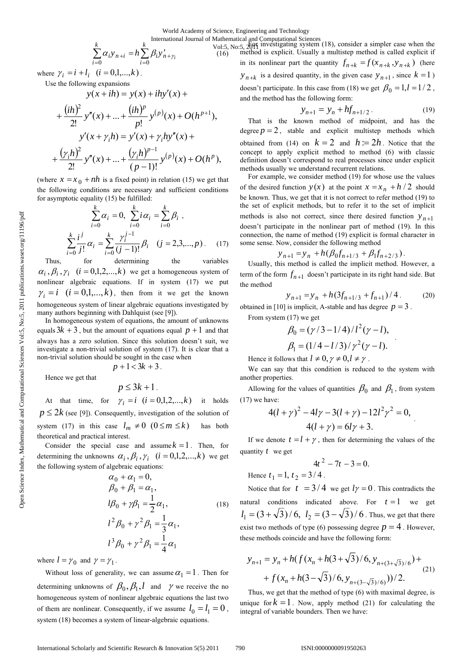$$
\sum_{i=0}^{k} \alpha_i y_{n+i} = h \sum_{i=0}^{k} \beta_i y'_{n+\gamma_i}
$$

where  $\gamma_i = i + l_i$   $(i = 0, 1, ..., k)$ .

Use the following expansions

$$
y(x+ih) = y(x) + ihy'(x) +
$$
  
+ 
$$
\frac{(ih)^2}{2!} y''(x) + ... + \frac{(ih)^p}{p!} y^{(p)}(x) + O(h^{p+1}),
$$
  

$$
y'(x + \gamma_i h) = y'(x) + \gamma_i hy''(x) +
$$
  
+ 
$$
\frac{(\gamma_i h)^2}{2!} y''(x) + ... + \frac{(\gamma_i h)^{p-1}}{(p-1)!} y^{(p)}(x) + O(h^p),
$$

(where  $x = x_0 + nh$  is a fixed point) in relation (15) we get that the following conditions are necessary and sufficient conditions for asymptotic equality (15) be fulfilled:

$$
\sum_{i=0}^{k} \alpha_i = 0, \ \sum_{i=0}^{k} i \alpha_i = \sum_{i=0}^{k} \beta_i ,
$$
\n
$$
\sum_{i=0}^{k} \frac{i^j}{j!} \alpha_i = \sum_{i=0}^{k} \frac{\gamma_i^{j-1}}{(j-1)!} \beta_i \quad (j = 2, 3, ..., p). \tag{17}
$$

Thus, for determining the variables  $\alpha_i$ ,  $\beta_i$ ,  $\gamma_i$   $(i = 0,1,2,...,k)$  we get a homogeneous system of nonlinear algebraic equations. If in system (17) we put  $\gamma_i = i$   $(i = 0,1,...,k)$ , then from it we get the known homogeneous system of linear algebraic equations investigated by many authors beginning with Dahlquist (see [9]).

In homogeneous system of equations, the amount of unknowns equals  $3k + 3$ , but the amount of equations equal  $p + 1$  and that always has a zero solution. Since this solution doesn't suit, we investigate a non-trivial solution of system (17). It is clear that a non-trivial solution should be sought in the case when

$$
p+1<3k+3.
$$

Hence we get that

$$
p\leq 3k+1
$$

At that time, for  $\gamma_i = i$   $(i = 0,1,2,...,k)$  it holds  $p \leq 2k$  (see [9]). Consequently, investigation of the solution of system (17) in this case  $l_m \neq 0$  ( $0 \leq m \leq k$ ) has both theoretical and practical interest.

Consider the special case and assume  $k = 1$ . Then, for determining the unknowns  $\alpha_i$ ,  $\beta_i$ ,  $\gamma_i$   $(i = 0,1,2,...,k)$  we get the following system of algebraic equations:

$$
\alpha_0 + \alpha_1 = 0, \n\beta_0 + \beta_1 = \alpha_1, \nl\beta_0 + \gamma \beta_1 = \frac{1}{2} \alpha_1, \nl^2 \beta_0 + \gamma^2 \beta_1 = \frac{1}{3} \alpha_1, \nl^3 \beta_0 + \gamma^2 \beta_1 = \frac{1}{4} \alpha_1
$$
\n(18)

where  $l = \gamma_0$  and  $\gamma = \gamma_1$ .

Without loss of generality, we can assume  $\alpha_1 = 1$ . Then for determining unknowns of  $\beta_0$ ,  $\beta_1$ , *l* and  $\gamma$  we receive the no homogeneous system of nonlinear algebraic equations the last two of them are nonlinear. Consequently, if we assume  $l_0 = l_1 = 0$ , system (18) becomes a system of linear-algebraic equations.

International Journal of Mathematical and Computational Sciences<br>  $V_0$ <sup>1</sup>:5 No:5  $\pi$ <sub>0</sub>F investigating system (18), consider a simpler case when the method is explicit. Usually a multistep method is called explicit if in its nonlinear part the quantity  $f_{n+k} = f(x_{n+k}, y_{n+k})$  (here  $y_{n+k}$  is a desired quantity, in the given case  $y_{n+1}$ , since  $k = 1$ ) doesn't participate. In this case from (18) we get  $\beta_0 = 1, l = 1/2$ , and the method has the following form: Vol:5, No:5, 2011

$$
y_{n+1} = y_n + h f_{n+1/2}.
$$
 (19)

That is the known method of midpoint, and has the degree  $p = 2$ , stable and explicit multistep methods which obtained from (14) on  $k = 2$  and  $h = 2h$ . Notice that the concept to apply explicit method to method (6) with classic definition doesn't correspond to real processes since under explicit methods usually we understand recurrent relations.

For example, we consider method (19) for whose use the values of the desired function  $y(x)$  at the point  $x = x_n + h/2$  should be known. Thus, we get that it is not correct to refer method (19) to the set of explicit methods, but to refer it to the set of implicit methods is also not correct, since there desired function  $y_{n+1}$ doesn't participate in the nonlinear part of method (19). In this connection, the name of method (19) explicit is formal character in some sense. Now, consider the following method

$$
y_{n+1} = y_n + h(\beta_0 f_{n+1/3} + \beta_1 f_{n+2/3}).
$$

Usually, this method is called the implicit method. However, a term of the form  $f_{n+1}$  doesn't participate in its right hand side. But the method

$$
y_{n+1} = y_n + h(3f_{n+1/3} + f_{n+1})/4.
$$
 (20)

obtained in [10] is implicit, A-stable and has degree  $p = 3$ .

From system (17) we get  
\n
$$
\beta_0 = (\gamma/3 - 1/4)/l^2(\gamma - l),
$$
\n
$$
\beta_1 = (1/4 - l/3)/\gamma^2(\gamma - l).
$$

Hence it follows that  $l \neq 0, \gamma \neq 0, l \neq \gamma$ .

We can say that this condition is reduced to the system with another properties.

Allowing for the values of quantities  $\beta_0$  and  $\beta_1$ , from system (17) we have:

$$
4(l + \gamma)^{2} - 4l\gamma - 3(l + \gamma) - 12l^{2}\gamma^{2} = 0,
$$
  
 
$$
4(l + \gamma) = 6l\gamma + 3.
$$

If we denote  $t = l + \gamma$ , then for determining the values of the quantity *t* we get

$$
4t^2 - 7t - 3 = 0.
$$

Hence  $t_1 = 1$ ,  $t_2 = 3/4$ .

Notice that for  $t = 3/4$  we get  $l\gamma = 0$ . This contradicts the natural conditions indicated above. For  $t = 1$  we get  $l_1 = (3 + \sqrt{3})/6$ ,  $l_2 = (3 - \sqrt{3})/6$ . Thus, we get that there exist two methods of type (6) possessing degree  $p = 4$ . However, these methods coincide and have the following form:

$$
y_{n+1} = y_n + h(f(x_n + h(3+\sqrt{3})/6, y_{n+(3+\sqrt{3})/6}) ++ f(x_n + h(3-\sqrt{3})/6, y_{n+(3-\sqrt{3})/6}))/2.
$$
 (21)

Thus, we get that the method of type (6) with maximal degree, is unique for  $k = 1$ . Now, apply method (21) for calculating the integral of variable bounders. Then we have: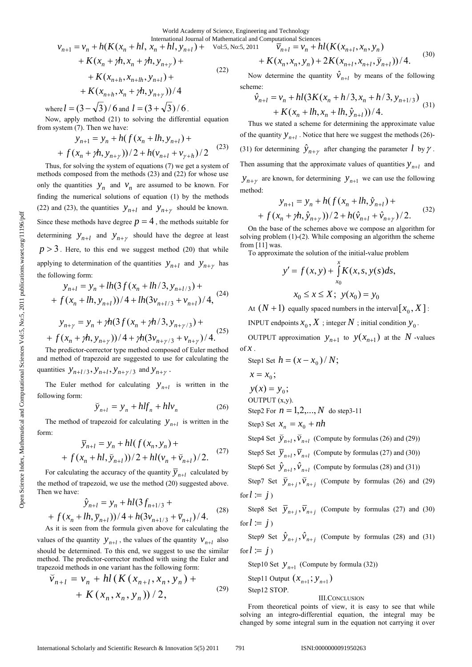World Academy of Science, Engineering and Technology International Journal of Mathematical and Computation

$$
v_{n+1} = v_n + h(K(x_n + hl, x_n + hl, y_{n+l}) + \text{Vol:5, No:5, 2011} \quad \overline{v}_{n+l} = v_n + h(K(x_{n+l}, x_n, y_n) + K(x_n + ph, x_n + ph, y_{n+\gamma}) + \qquad \qquad + K(x_n, x_n, y_n) + 2K(x_{n+l}, x_{n+l}, \overline{y}_{n+l})) / 4. \tag{30}
$$

Now determine the quantity  $\hat{v}_{n+l}$  by means of the following scheme:

$$
\hat{v}_{n+l} = v_n + hl(3K(x_n + h/3, x_n + h/3, y_{n+l/3}) + K(x_n + lh, x_n + lh, \hat{y}_{n+l}))/4.
$$
\n(31)

Thus we stated a scheme for determining the approximate value of the quantity  $y_{n+1}$ . Notice that here we suggest the methods (26)-(31) for determining  $\hat{y}_{n+\gamma}$  after changing the parameter *l* by  $\gamma$ . Then assuming that the approximate values of quantities  $y_{n+l}$  and  $y_{n+y}$  are known, for determining  $y_{n+1}$  we can use the following method:

$$
y_{n+1} = y_n + h(f(x_n + lh, \hat{y}_{n+l}) +
$$
  
+  $f(x_n + \gamma h, \hat{y}_{n+\gamma})) / 2 + h(\hat{y}_{n+l} + \hat{y}_{n+\gamma}) / 2.$  (32)

On the base of the schemes above we compose an algorithm for solving problem (1)-(2). While composing an algorithm the scheme from [11] was.

To approximate the solution of the initial-value problem

$$
y' = f(x, y) + \int_{x_0}^{x} K(x, s, y(s)) ds,
$$
  

$$
x_0 \le x \le X; \ y(x_0) = y_0
$$

At  $(N + 1)$  equally spaced numbers in the interval  $[x_0, X]$ :

INPUT endpoints  $x_0$ ,  $X$ ; integer  $N$ ; initial condition  $y_0$ .

OUTPUT approximation  $y_{n+1}$  to  $y(x_{n+1})$  at the N -values of  $\mathcal X$ .

Step1 Set 
$$
h = (x - x_0) / N
$$
;

$$
x = x_0;
$$

 $y(x) = y_0;$ 

OUTPUT (x,y).

Step2 For  $n = 1, 2, ..., N$  do step3-11

Step3 Set 
$$
x_n = x_0 + nh
$$

Step4 Set  $\overline{y}_{n+l}$ ,  $\overline{v}_{n+l}$  (Compute by formulas (26) and (29))

Step5 Set  $\overline{y}_{n+l}$ ,  $\overline{v}_{n+l}$  (Compute by formulas (27) and (30))

Step6 Set  $\hat{y}_{n+l}$ ,  $\hat{v}_{n+l}$  (Compute by formulas (28) and (31))

Step7 Set  $\overline{y}_{n+j}$ ,  $\overline{v}_{n+j}$  (Compute by formulas (26) and (29) for  $l := j$ 

Step8 Set  $\overline{y}_{n+i}$ ,  $\overline{v}_{n+i}$  (Compute by formulas (27) and (30) for  $l := j$ )

Step9 Set  $\hat{y}_{n+i}$ ,  $\hat{v}_{n+i}$  (Compute by formulas (28) and (31) for  $l = j$ 

Step10 Set  $y_{n+1}$  (Compute by formula (32))

Step11 Output 
$$
(x_{n+1}; y_{n+1})
$$
  
Step12 STOP.

III.CONCLUSION

From theoretical points of view, it is easy to see that while solving an integro-differential equation, the integral may be changed by some integral sum in the equation not carrying it over

+ 
$$
K(x_{n+h}, x_n + \gamma h, y_{n+\gamma})/4
$$
  
then  $l = (3, \sqrt{3})/(6 \text{ and } l = (3, \sqrt{3})/(6)$ 

 $+ K(x_{n+h}, x_{n+lh}, y_{n+l}) +$ 

where  $l = (3 - \sqrt{3})/6$  and  $l = (3 + \sqrt{3})/6$ .

Now, apply method (21) to solving the differential equation from system (7). Then we have:

$$
y_{n+1} = y_n + h(f(x_n + lh, y_{n+l}) + f(x_n + Ph, y_{n+\gamma})) / 2 + h(v_{n+l} + v_{\gamma+h}) / 2
$$
 (23)

Thus, for solving the system of equations (7) we get a system of methods composed from the methods (23) and (22) for whose use only the quantities  $y_n$  and  $v_n$  are assumed to be known. For finding the numerical solutions of equation (1) by the methods (22) and (23), the quantities  $y_{n+l}$  and  $y_{n+\gamma}$  should be known. Since these methods have degree  $p = 4$ , the methods suitable for determining  $y_{n+l}$  and  $y_{n+\gamma}$  should have the degree at least  $p > 3$ . Here, to this end we suggest method (20) that while applying to determination of the quantities  $y_{n+l}$  and  $y_{n+\gamma}$  has the following form:

$$
y_{n+l} = y_n + lh(3f(x_n + lh/3, y_{n+l/3}) +
$$
  
+  $f(x_n + lh, y_{n+l})) / 4 + lh(3v_{n+l/3} + v_{n+l}) / 4,$  (24)

$$
y_{n+\gamma} = y_n + \gamma h(3f(x_n + \gamma h/3, y_{n+\gamma/3}) +
$$
  
+  $f(x_n + \gamma h, y_{n+\gamma}) / 4 + \gamma h(3y_{n+\gamma/3} + y_{n+\gamma}) / 4.$ <sup>(25)</sup>

The predictor-corrector type method composed of Euler method and method of trapezoid are suggested to use for calculating the quantities  $y_{n+l/3}, y_{n+l}, y_{n+\gamma/3}$  and  $y_{n+\gamma}$ .

The Euler method for calculating  $y_{n+l}$  is written in the following form:

$$
\widetilde{y}_{n+l} = y_n + h l f_n + h l v_n \tag{26}
$$

The method of trapezoid for calculating  $y_{n+1}$  is written in the form:

$$
\overline{y}_{n+l} = y_n + hl(f(x_n, y_n) +
$$
  
+  $f(x_n + hl, \overline{y}_{n+l})) / 2 + hl(v_n + \overline{v}_{n+l}) / 2.$  (27)

For calculating the accuracy of the quantity  $\overline{y}_{n+l}$  calculated by the method of trapezoid, we use the method (20) suggested above. Then we have:

$$
\hat{y}_{n+l} = y_n + hl(3f_{n+1/3} + f(x_n + lh, \overline{y}_{n+l}))/4 + h(3v_{n+1/3} + \overline{v}_{n+l})/4.
$$
\n(28)

As it is seen from the formula given above for calculating the values of the quantity  $y_{n+l}$ , the values of the quantity  $v_{n+l}$  also should be determined. To this end, we suggest to use the similar method. The predictor-corrector method with using the Euler and trapezoid methods in one variant has the following form:

$$
\overline{v}_{n+1} = v_n + hl(K(x_{n+1}, x_n, y_n) + K(x_n, x_n, y_n)) / 2,
$$
\n(29)